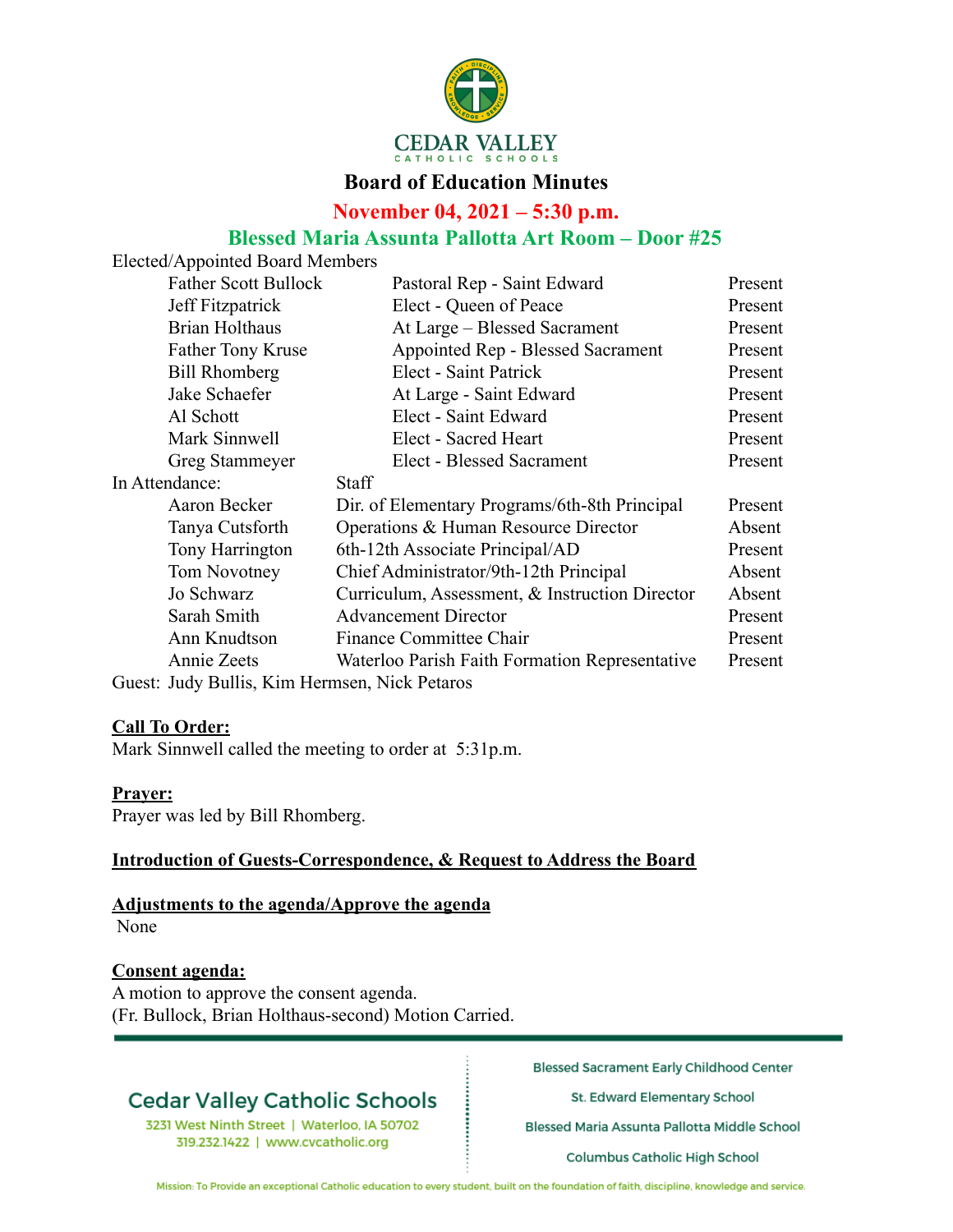

### **Board of Education Minutes**

**November 04, 2021 – 5:30 p.m.**

### **Blessed Maria Assunta Pallotta Art Room – Door #25**

Elected/Appointed Board Members

| <b>Father Scott Bullock</b>                   | Pastoral Rep - Saint Edward                    | Present |
|-----------------------------------------------|------------------------------------------------|---------|
| Jeff Fitzpatrick                              | Elect - Queen of Peace                         | Present |
| <b>Brian Holthaus</b>                         | At Large - Blessed Sacrament                   | Present |
| <b>Father Tony Kruse</b>                      | Appointed Rep - Blessed Sacrament              | Present |
| <b>Bill Rhomberg</b>                          | Elect - Saint Patrick                          | Present |
| Jake Schaefer                                 | At Large - Saint Edward                        | Present |
| Al Schott                                     | Elect - Saint Edward                           | Present |
| Mark Sinnwell                                 | Elect - Sacred Heart                           | Present |
| Greg Stammeyer                                | <b>Elect - Blessed Sacrament</b>               | Present |
| In Attendance:                                | <b>Staff</b>                                   |         |
| Aaron Becker                                  | Dir. of Elementary Programs/6th-8th Principal  | Present |
| Tanya Cutsforth                               | Operations & Human Resource Director           | Absent  |
| Tony Harrington                               | 6th-12th Associate Principal/AD                | Present |
| Tom Novotney                                  | Chief Administrator/9th-12th Principal         | Absent  |
| Jo Schwarz                                    | Curriculum, Assessment, & Instruction Director | Absent  |
| Sarah Smith                                   | <b>Advancement Director</b>                    | Present |
| Ann Knudtson                                  | Finance Committee Chair                        | Present |
| Annie Zeets                                   | Waterloo Parish Faith Formation Representative | Present |
| Guest: Judy Bullis, Kim Hermsen, Nick Petaros |                                                |         |

### **Call To Order:**

Mark Sinnwell called the meeting to order at 5:31p.m.

### **Prayer:**

Prayer was led by Bill Rhomberg.

#### **Introduction of Guests-Correspondence, & Request to Address the Board**

#### **Adjustments to the agenda/Approve the agenda** None

### **Consent agenda:**

A motion to approve the consent agenda. (Fr. Bullock, Brian Holthaus-second) Motion Carried.

## **Cedar Valley Catholic Schools**

3231 West Ninth Street | Waterloo, IA 50702 319.232.1422 | www.cvcatholic.org

**Blessed Sacrament Early Childhood Center** 

St. Edward Elementary School

Blessed Maria Assunta Pallotta Middle School

**Columbus Catholic High School** 

Mission: To Provide an exceptional Catholic education to every student, built on the foundation of faith, discipline, knowledge and service.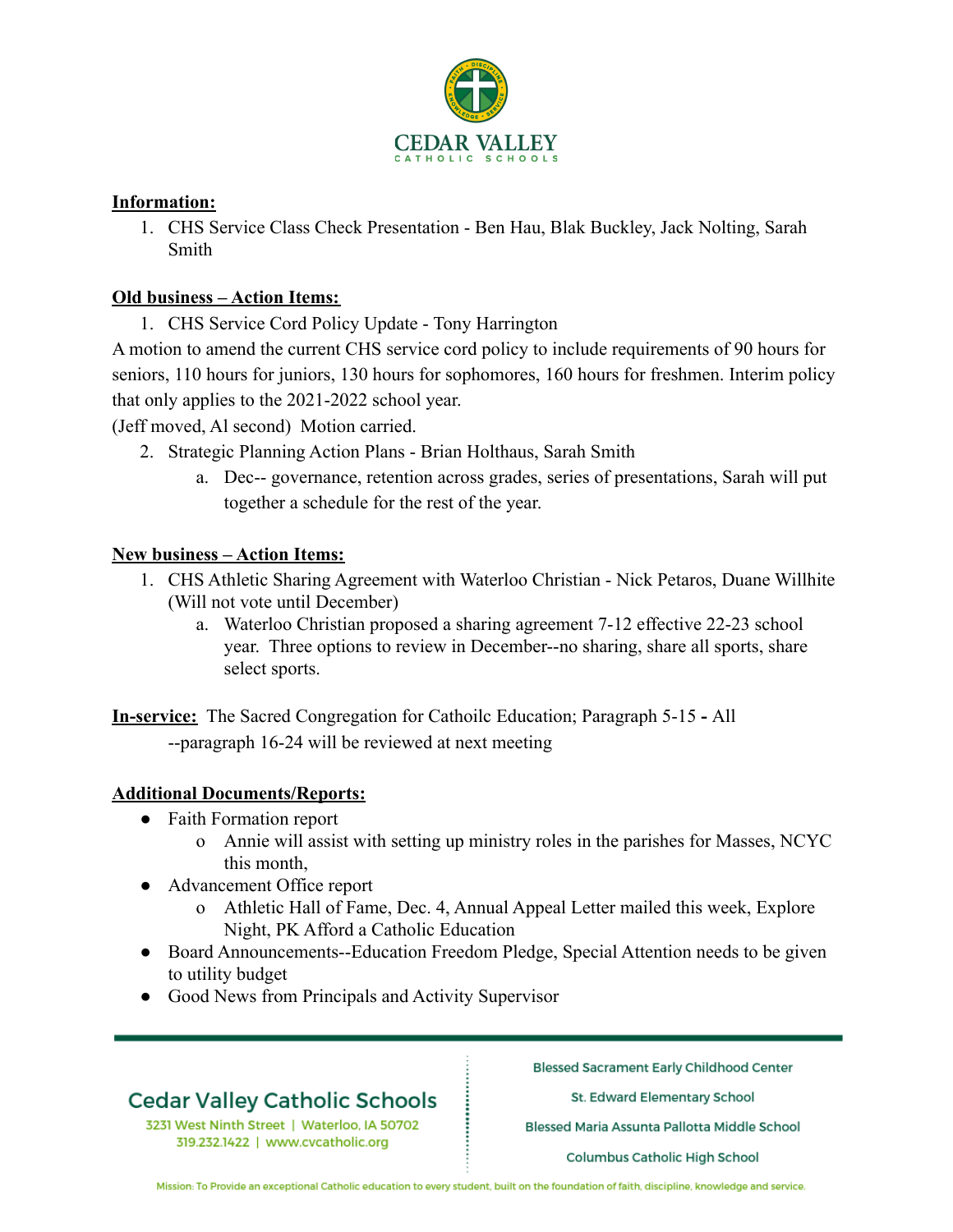

### **Information:**

1. CHS Service Class Check Presentation - Ben Hau, Blak Buckley, Jack Nolting, Sarah Smith

### **Old business – Action Items:**

1. CHS Service Cord Policy Update - Tony Harrington

A motion to amend the current CHS service cord policy to include requirements of 90 hours for seniors, 110 hours for juniors, 130 hours for sophomores, 160 hours for freshmen. Interim policy that only applies to the 2021-2022 school year.

(Jeff moved, Al second) Motion carried.

- 2. Strategic Planning Action Plans Brian Holthaus, Sarah Smith
	- a. Dec-- governance, retention across grades, series of presentations, Sarah will put together a schedule for the rest of the year.

### **New business – Action Items:**

- 1. CHS Athletic Sharing Agreement with Waterloo Christian Nick Petaros, Duane Willhite (Will not vote until December)
	- a. Waterloo Christian proposed a sharing agreement 7-12 effective 22-23 school year. Three options to review in December--no sharing, share all sports, share select sports.

**In-service:** The Sacred Congregation for Cathoilc Education; Paragraph 5-15 **-** All --paragraph 16-24 will be reviewed at next meeting

### **Additional Documents/Reports:**

- Faith Formation report
	- o Annie will assist with setting up ministry roles in the parishes for Masses, NCYC this month,
- Advancement Office report
	- o Athletic Hall of Fame, Dec. 4, Annual Appeal Letter mailed this week, Explore Night, PK Afford a Catholic Education
- Board Announcements--Education Freedom Pledge, Special Attention needs to be given to utility budget
- Good News from Principals and Activity Supervisor

## **Cedar Valley Catholic Schools**

3231 West Ninth Street | Waterloo, IA 50702 319.232.1422 | www.cvcatholic.org

**Blessed Sacrament Early Childhood Center** 

St. Edward Elementary School

Blessed Maria Assunta Pallotta Middle School

**Columbus Catholic High School** 

Mission: To Provide an exceptional Catholic education to every student, built on the foundation of faith, discipline, knowledge and service.